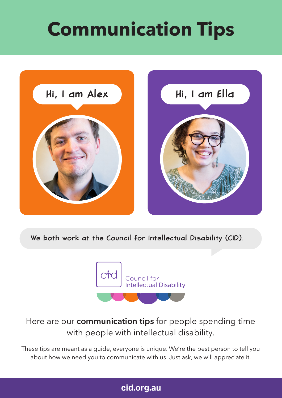# **Communication Tips**



We both work at the Council for Intellectual Disability (CID).



# Here are our **communication tips** for people spending time with people with intellectual disability.

These tips are meant as a guide, everyone is unique. We're the best person to tell you about how we need you to communicate with us. Just ask, we will appreciate it.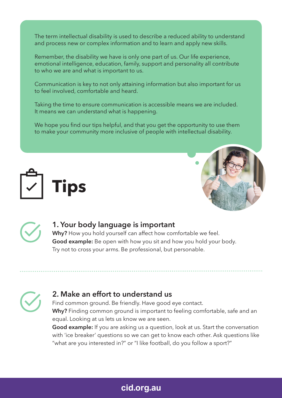The term intellectual disability is used to describe a reduced ability to understand and process new or complex information and to learn and apply new skills.

Remember, the disability we have is only one part of us. Our life experience, emotional intelligence, education, family, support and personality all contribute to who we are and what is important to us.

Communication is key to not only attaining information but also important for us to feel involved, comfortable and heard.

Taking the time to ensure communication is accessible means we are included. It means we can understand what is happening.

We hope you find our tips helpful, and that you get the opportunity to use them to make your community more inclusive of people with intellectual disability.







#### **1. Your body language is important**

**Why?** How you hold yourself can affect how comfortable we feel. **Good example:** Be open with how you sit and how you hold your body. Try not to cross your arms. Be professional, but personable.



Find common ground. Be friendly. Have good eye contact. **Why?** Finding common ground is important to feeling comfortable, safe and an equal. Looking at us lets us know we are seen.

**Good example:** If you are asking us a question, look at us. Start the conversation with 'ice breaker' questions so we can get to know each other. Ask questions like "what are you interested in?" or "I like football, do you follow a sport?"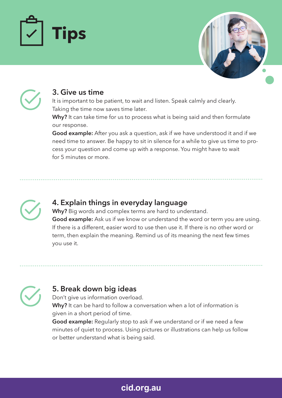





#### **3. Give us time**

It is important to be patient, to wait and listen. Speak calmly and clearly. Taking the time now saves time later.

**Why?** It can take time for us to process what is being said and then formulate our response.

**Good example:** After you ask a question, ask if we have understood it and if we need time to answer. Be happy to sit in silence for a while to give us time to process your question and come up with a response. You might have to wait for 5 minutes or more.



#### **4. Explain things in everyday language**

**Why?** Big words and complex terms are hard to understand. **Good example:** Ask us if we know or understand the word or term you are using. If there is a different, easier word to use then use it. If there is no other word or term, then explain the meaning. Remind us of its meaning the next few times you use it.

## **5. Break down big ideas**

Don't give us information overload. Why? It can be hard to follow a conversation when a lot of information is given in a short period of time.

**Good example:** Regularly stop to ask if we understand or if we need a few minutes of quiet to process. Using pictures or illustrations can help us follow or better understand what is being said.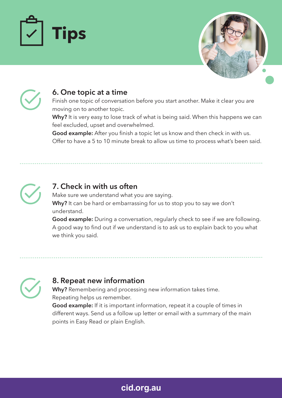





#### **6. One topic at a time**

Finish one topic of conversation before you start another. Make it clear you are moving on to another topic.

**Why?** It is very easy to lose track of what is being said. When this happens we can feel excluded, upset and overwhelmed.

**Good example:** After you finish a topic let us know and then check in with us. Offer to have a 5 to 10 minute break to allow us time to process what's been said.



#### **7. Check in with us often**

Make sure we understand what you are saying. **Why?** It can be hard or embarrassing for us to stop you to say we don't understand.

**Good example:** During a conversation, regularly check to see if we are following. A good way to find out if we understand is to ask us to explain back to you what we think you said.

## **8. Repeat new information**

**Why?** Remembering and processing new information takes time. Repeating helps us remember.

**Good example:** If it is important information, repeat it a couple of times in different ways. Send us a follow up letter or email with a summary of the main points in Easy Read or plain English.

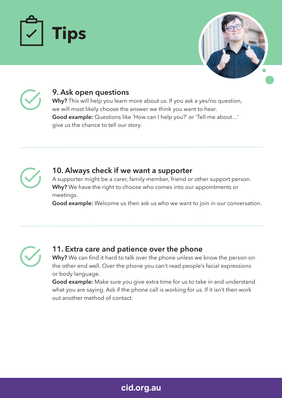





#### **9. Ask open questions**

**Why?** This will help you learn more about us. If you ask a yes/no question, we will most likely choose the answer we think you want to hear. **Good example:** Questions like 'How can I help you?' or 'Tell me about…' give us the chance to tell our story.



#### **10. Always check if we want a supporter**

A supporter might be a carer, family member, friend or other support person. **Why?** We have the right to choose who comes into our appointments or meetings.

**Good example:** Welcome us then ask us who we want to join in our conversation.



## **11. Extra care and patience over the phone**

**Why?** We can find it hard to talk over the phone unless we know the person on the other end well. Over the phone you can't read people's facial expressions or body language.

**Good example:** Make sure you give extra time for us to take in and understand what you are saying. Ask if the phone call is working for us. If it isn't then work out another method of contact.